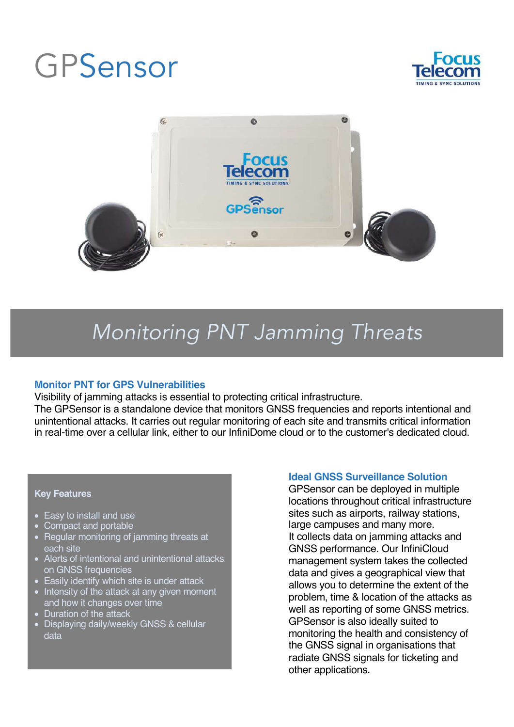# GPSensor





## *Monitoring PNT Jamming Threats*

## **Monitor PNT for GPS Vulnerabilities**

Visibility of jamming attacks is essential to protecting critical infrastructure.

The GPSensor is a standalone device that monitors GNSS frequencies and reports intentional and unintentional attacks. It carries out regular monitoring of each site and transmits critical information in real-time over a cellular link, either to our InfiniDome cloud or to the customer's dedicated cloud.

## **Key Features**

- Easy to install and use
- Compact and portable
- Regular monitoring of jamming threats at each site
- Alerts of intentional and unintentional attacks on GNSS frequencies
- Easily identify which site is under attack
- Intensity of the attack at any given moment and how it changes over time
- Duration of the attack
- Displaying daily/weekly GNSS & cellular data

## **Ideal GNSS Surveillance Solution**

GPSensor can be deployed in multiple locations throughout critical infrastructure sites such as airports, railway stations, large campuses and many more. It collects data on jamming attacks and GNSS performance. Our InfiniCloud management system takes the collected data and gives a geographical view that allows you to determine the extent of the problem, time & location of the attacks as well as reporting of some GNSS metrics. GPSensor is also ideally suited to monitoring the health and consistency of the GNSS signal in organisations that radiate GNSS signals for ticketing and other applications.